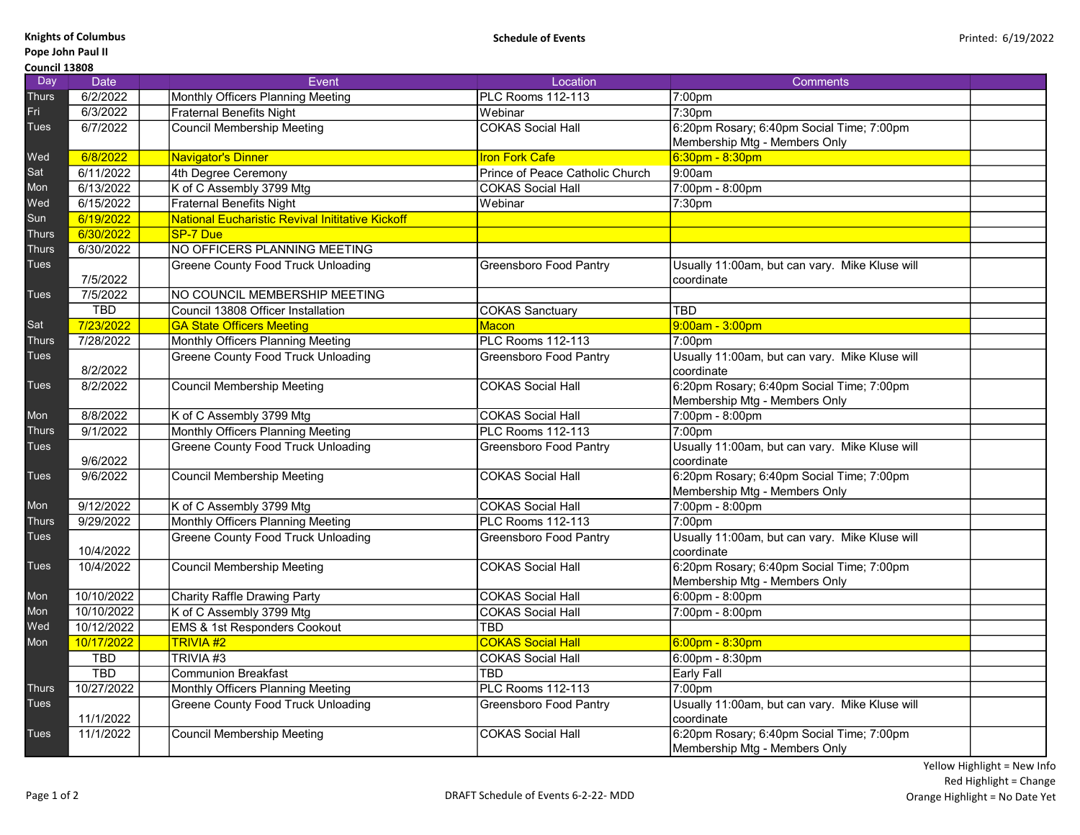## Pope John Paul II Council 13808

| ounun 1900a<br>Day | <b>Date</b> | Event                                            | Location                        | Comments                                                     |  |
|--------------------|-------------|--------------------------------------------------|---------------------------------|--------------------------------------------------------------|--|
| <b>Thurs</b>       | 6/2/2022    | Monthly Officers Planning Meeting                | <b>PLC Rooms 112-113</b>        | 7:00pm                                                       |  |
| Fri                | 6/3/2022    | <b>Fraternal Benefits Night</b>                  | Webinar                         | 7:30pm                                                       |  |
| <b>Tues</b>        | 6/7/2022    | <b>Council Membership Meeting</b>                | <b>COKAS Social Hall</b>        | 6:20pm Rosary; 6:40pm Social Time; 7:00pm                    |  |
|                    |             |                                                  |                                 | Membership Mtg - Members Only                                |  |
| Wed                | 6/8/2022    | <b>Navigator's Dinner</b>                        | <b>Iron Fork Cafe</b>           | $6:30$ pm - $8:30$ pm                                        |  |
| Sat                | 6/11/2022   | 4th Degree Ceremony                              | Prince of Peace Catholic Church | 9:00am                                                       |  |
| <b>Mon</b>         | 6/13/2022   | K of C Assembly 3799 Mtg                         | <b>COKAS Social Hall</b>        | 7:00pm - 8:00pm                                              |  |
| Wed                | 6/15/2022   | <b>Fraternal Benefits Night</b>                  | Webinar                         | 7:30pm                                                       |  |
| Sun                | 6/19/2022   | National Eucharistic Revival Inititative Kickoff |                                 |                                                              |  |
| <b>Thurs</b>       | 6/30/2022   | <b>SP-7 Due</b>                                  |                                 |                                                              |  |
| <b>Thurs</b>       | 6/30/2022   | NO OFFICERS PLANNING MEETING                     |                                 |                                                              |  |
| <b>Tues</b>        |             | Greene County Food Truck Unloading               | <b>Greensboro Food Pantry</b>   | Usually 11:00am, but can vary. Mike Kluse will               |  |
|                    | 7/5/2022    |                                                  |                                 | coordinate                                                   |  |
| <b>Tues</b>        | 7/5/2022    | NO COUNCIL MEMBERSHIP MEETING                    |                                 |                                                              |  |
|                    | <b>TBD</b>  | Council 13808 Officer Installation               | <b>COKAS Sanctuary</b>          | TBD                                                          |  |
| Sat                | 7/23/2022   | <b>GA State Officers Meeting</b>                 | <b>Macon</b>                    | 9:00am - 3:00pm                                              |  |
| <b>Thurs</b>       | 7/28/2022   | Monthly Officers Planning Meeting                | <b>PLC Rooms 112-113</b>        | 7:00pm                                                       |  |
| <b>Tues</b>        | 8/2/2022    | <b>Greene County Food Truck Unloading</b>        | Greensboro Food Pantry          | Usually 11:00am, but can vary. Mike Kluse will<br>coordinate |  |
| <b>Tues</b>        | 8/2/2022    | <b>Council Membership Meeting</b>                | <b>COKAS Social Hall</b>        | 6:20pm Rosary; 6:40pm Social Time; 7:00pm                    |  |
|                    |             |                                                  |                                 | Membership Mtg - Members Only                                |  |
| Mon                | 8/8/2022    | K of C Assembly 3799 Mtg                         | <b>COKAS Social Hall</b>        | 7:00pm - 8:00pm                                              |  |
| <b>Thurs</b>       | 9/1/2022    | <b>Monthly Officers Planning Meeting</b>         | <b>PLC Rooms 112-113</b>        | 7:00pm                                                       |  |
| <b>Tues</b>        |             | <b>Greene County Food Truck Unloading</b>        | <b>Greensboro Food Pantry</b>   | Usually 11:00am, but can vary. Mike Kluse will               |  |
|                    | 9/6/2022    |                                                  |                                 | coordinate                                                   |  |
| <b>Tues</b>        | 9/6/2022    | <b>Council Membership Meeting</b>                | <b>COKAS Social Hall</b>        | 6:20pm Rosary; 6:40pm Social Time; 7:00pm                    |  |
|                    |             |                                                  |                                 | Membership Mtg - Members Only                                |  |
| Mon                | 9/12/2022   | K of C Assembly 3799 Mtg                         | <b>COKAS</b> Social Hall        | 7:00pm - 8:00pm                                              |  |
| <b>Thurs</b>       | 9/29/2022   | Monthly Officers Planning Meeting                | <b>PLC Rooms 112-113</b>        | 7:00pm                                                       |  |
| <b>Tues</b>        |             | <b>Greene County Food Truck Unloading</b>        | <b>Greensboro Food Pantry</b>   | Usually 11:00am, but can vary. Mike Kluse will               |  |
|                    | 10/4/2022   |                                                  |                                 | coordinate                                                   |  |
| <b>Tues</b>        | 10/4/2022   | <b>Council Membership Meeting</b>                | <b>COKAS Social Hall</b>        | 6:20pm Rosary; 6:40pm Social Time; 7:00pm                    |  |
|                    |             |                                                  |                                 | Membership Mtg - Members Only                                |  |
| Mon                | 10/10/2022  | <b>Charity Raffle Drawing Party</b>              | <b>COKAS Social Hall</b>        | 6:00pm - 8:00pm                                              |  |
| <b>Mon</b>         | 10/10/2022  | K of C Assembly 3799 Mtg                         | <b>COKAS Social Hall</b>        | 7:00pm - 8:00pm                                              |  |
| Wed                | 10/12/2022  | <b>EMS &amp; 1st Responders Cookout</b>          | <b>TBD</b>                      |                                                              |  |
| Mon                | 10/17/2022  | <b>TRIVIA #2</b>                                 | <b>COKAS Social Hall</b>        | $6:00$ pm - $8:30$ pm                                        |  |
|                    | <b>TBD</b>  | TRIVIA #3                                        | <b>COKAS Social Hall</b>        | 6:00pm - 8:30pm                                              |  |
|                    | <b>TBD</b>  | <b>Communion Breakfast</b>                       | <b>TBD</b>                      | <b>Early Fall</b>                                            |  |
| <b>Thurs</b>       | 10/27/2022  | Monthly Officers Planning Meeting                | <b>PLC Rooms 112-113</b>        | 7:00pm                                                       |  |
| <b>Tues</b>        |             | <b>Greene County Food Truck Unloading</b>        | <b>Greensboro Food Pantry</b>   | Usually 11:00am, but can vary. Mike Kluse will               |  |
|                    | 11/1/2022   |                                                  |                                 | coordinate                                                   |  |
| <b>Tues</b>        | 11/1/2022   | <b>Council Membership Meeting</b>                | <b>COKAS Social Hall</b>        | 6:20pm Rosary; 6:40pm Social Time; 7:00pm                    |  |
|                    |             |                                                  |                                 | Membership Mtg - Members Only                                |  |